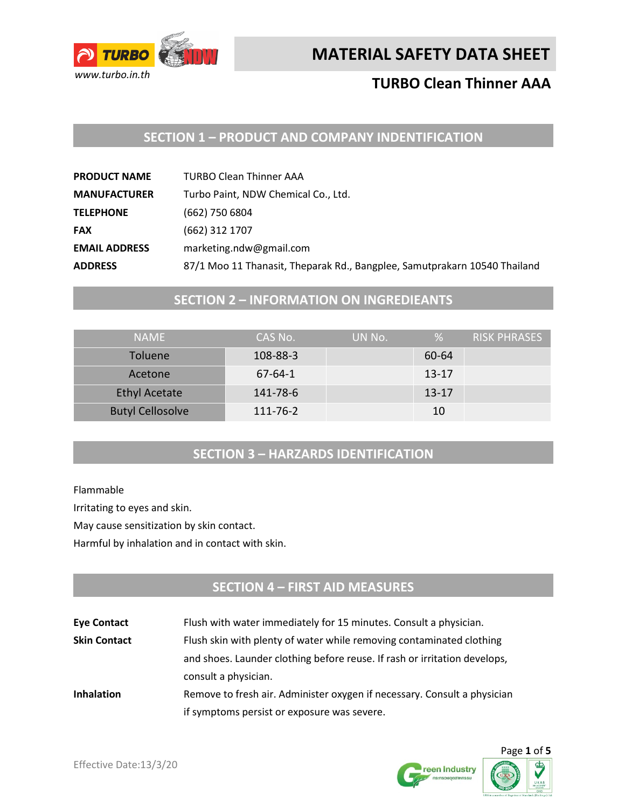

# **TURBO Clean Thinner AAA**

## **SECTION 1 – PRODUCT AND COMPANY INDENTIFICATION**

| <b>PRODUCT NAME</b>  | <b>TURBO Clean Thinner AAA</b>                                            |
|----------------------|---------------------------------------------------------------------------|
| <b>MANUFACTURER</b>  | Turbo Paint, NDW Chemical Co., Ltd.                                       |
| <b>TELEPHONE</b>     | (662) 750 6804                                                            |
| <b>FAX</b>           | (662) 312 1707                                                            |
| <b>EMAIL ADDRESS</b> | marketing.ndw@gmail.com                                                   |
| <b>ADDRESS</b>       | 87/1 Moo 11 Thanasit, Theparak Rd., Bangplee, Samutprakarn 10540 Thailand |

### **SECTION 2 – INFORMATION ON INGREDIEANTS**

| <b>NAMF</b>             | CAS No.       | UN No. | %         | RISK PHRASES |
|-------------------------|---------------|--------|-----------|--------------|
| <b>Toluene</b>          | 108-88-3      |        | 60-64     |              |
| Acetone                 | $67 - 64 - 1$ |        | $13 - 17$ |              |
| <b>Ethyl Acetate</b>    | 141-78-6      |        | $13 - 17$ |              |
| <b>Butyl Cellosolve</b> | 111-76-2      |        | 10        |              |

### **SECTION 3 – HARZARDS IDENTIFICATION**

Flammable

Irritating to eyes and skin.

May cause sensitization by skin contact.

Harmful by inhalation and in contact with skin.

## **SECTION 4 – FIRST AID MEASURES**

| <b>Eye Contact</b>  | Flush with water immediately for 15 minutes. Consult a physician.         |  |
|---------------------|---------------------------------------------------------------------------|--|
| <b>Skin Contact</b> | Flush skin with plenty of water while removing contaminated clothing      |  |
|                     | and shoes. Launder clothing before reuse. If rash or irritation develops, |  |
|                     | consult a physician.                                                      |  |
| <b>Inhalation</b>   | Remove to fresh air. Administer oxygen if necessary. Consult a physician  |  |
|                     | if symptoms persist or exposure was severe.                               |  |



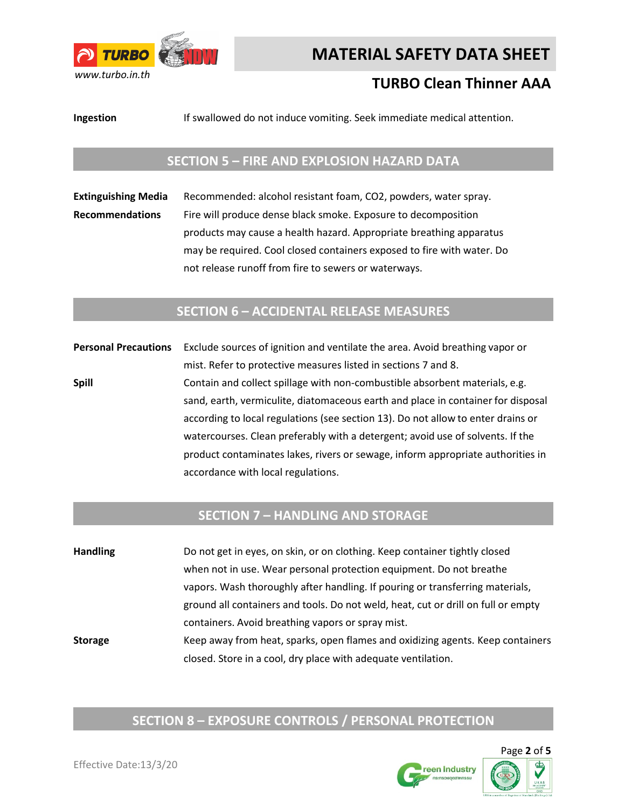

# **TURBO Clean Thinner AAA**

**Ingestion** If swallowed do not induce vomiting. Seek immediate medical attention.

### **SECTION 5 – FIRE AND EXPLOSION HAZARD DATA**

**Extinguishing Media** Recommended: alcohol resistant foam, CO2, powders, water spray. **Recommendations** Fire will produce dense black smoke. Exposure to decomposition products may cause a health hazard. Appropriate breathing apparatus may be required. Cool closed containers exposed to fire with water. Do not release runoff from fire to sewers or waterways.

#### **SECTION 6 – ACCIDENTAL RELEASE MEASURES**

**Personal Precautions** Exclude sources of ignition and ventilate the area. Avoid breathing vapor or mist. Refer to protective measures listed in sections 7 and 8. **Spill Spill** Contain and collect spillage with non-combustible absorbent materials, e.g. sand, earth, vermiculite, diatomaceous earth and place in container for disposal according to local regulations (see section 13). Do not allow to enter drains or watercourses. Clean preferably with a detergent; avoid use of solvents. If the product contaminates lakes, rivers or sewage, inform appropriate authorities in accordance with local regulations.

### **SECTION 7 – HANDLING AND STORAGE**

**Handling** Do not get in eyes, on skin, or on clothing. Keep container tightly closed when not in use. Wear personal protection equipment. Do not breathe vapors. Wash thoroughly after handling. If pouring or transferring materials, ground all containers and tools. Do not weld, heat, cut or drill on full or empty containers. Avoid breathing vapors or spray mist. **Storage** Keep away from heat, sparks, open flames and oxidizing agents. Keep containers closed. Store in a cool, dry place with adequate ventilation.

# **SECTION 8 – EXPOSURE CONTROLS / PERSONAL PROTECTION**

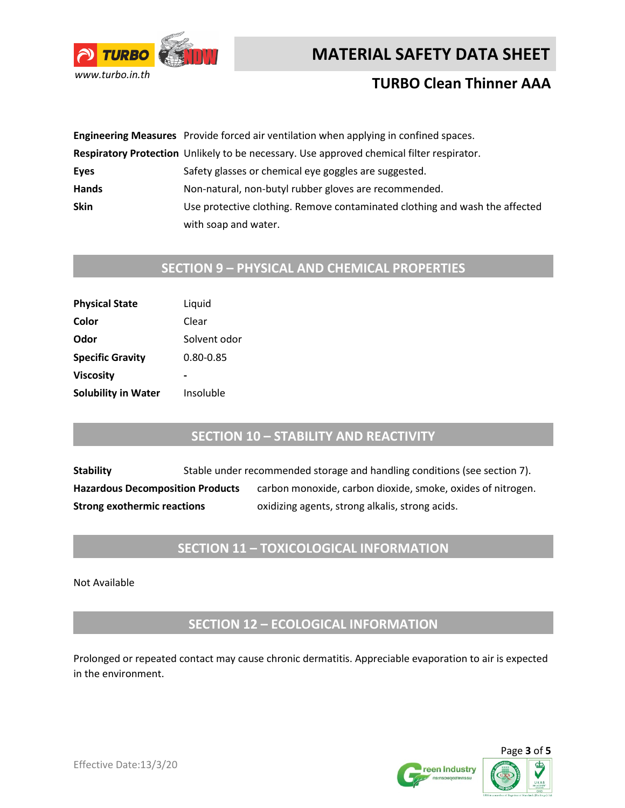



# **TURBO Clean Thinner AAA**

|              | Engineering Measures Provide forced air ventilation when applying in confined spaces.     |
|--------------|-------------------------------------------------------------------------------------------|
|              | Respiratory Protection Unlikely to be necessary. Use approved chemical filter respirator. |
| Eyes         | Safety glasses or chemical eye goggles are suggested.                                     |
| <b>Hands</b> | Non-natural, non-butyl rubber gloves are recommended.                                     |
| <b>Skin</b>  | Use protective clothing. Remove contaminated clothing and wash the affected               |
|              | with soap and water.                                                                      |

# **SECTION 9 – PHYSICAL AND CHEMICAL PROPERTIES**

| <b>Physical State</b>      | Liquid       |
|----------------------------|--------------|
| Color                      | Clear        |
| Odor                       | Solvent odor |
| <b>Specific Gravity</b>    | 0.80-0.85    |
| <b>Viscosity</b>           |              |
| <b>Solubility in Water</b> | Insoluble    |

### **SECTION 10 – STABILITY AND REACTIVITY**

**Stability** Stable under recommended storage and handling conditions (see section 7). Hazardous Decomposition Products carbon monoxide, carbon dioxide, smoke, oxides of nitrogen. **Strong exothermic reactions** oxidizing agents, strong alkalis, strong acids.

### **SECTION 11 – TOXICOLOGICAL INFORMATION**

Not Available

**SECTION 12 – ECOLOGICAL INFORMATION**

Prolonged or repeated contact may cause chronic dermatitis. Appreciable evaporation to air is expected in the environment.



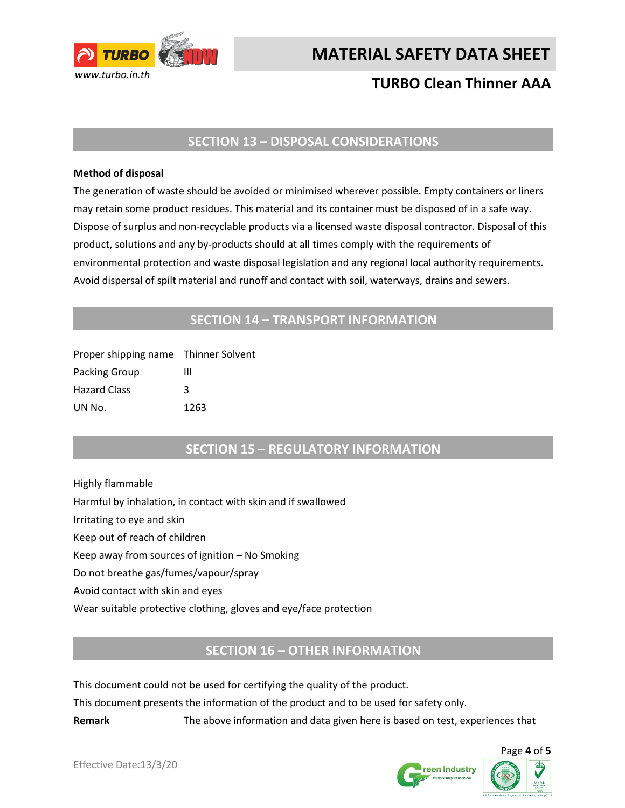

# **TURBO Clean Thinner AAA**

### **SECTION 13 – DISPOSAL CONSIDERATIONS**

#### **Method of disposal**

The generation of waste should be avoided or minimised wherever possible. Empty containers or liners may retain some product residues. This material and its container must be disposed of in a safe way. Dispose of surplus and non-recyclable products via a licensed waste disposal contractor. Disposal of this product, solutions and any by-products should at all times comply with the requirements of environmental protection and waste disposal legislation and any regional local authority requirements. Avoid dispersal of spilt material and runoff and contact with soil, waterways, drains and sewers.

### **SECTION 14 – TRANSPORT INFORMATION**

| Proper shipping name Thinner Solvent |      |
|--------------------------------------|------|
| Packing Group                        | ш    |
| <b>Hazard Class</b>                  | κ    |
| UN No.                               | 1263 |

### **SECTION 15 – REGULATORY INFORMATION**

Highly flammable Harmful by inhalation, in contact with skin and if swallowed Irritating to eye and skin Keep out of reach of children Keep away from sources of ignition – No Smoking Do not breathe gas/fumes/vapour/spray Avoid contact with skin and eyes Wear suitable protective clothing, gloves and eye/face protection

### **SECTION 16 – OTHER INFORMATION**

This document could not be used for certifying the quality of the product.

This document presents the information of the product and to be used for safety only.

**Remark** The above information and data given here is based on test, experiences that



Page **4** of **5**